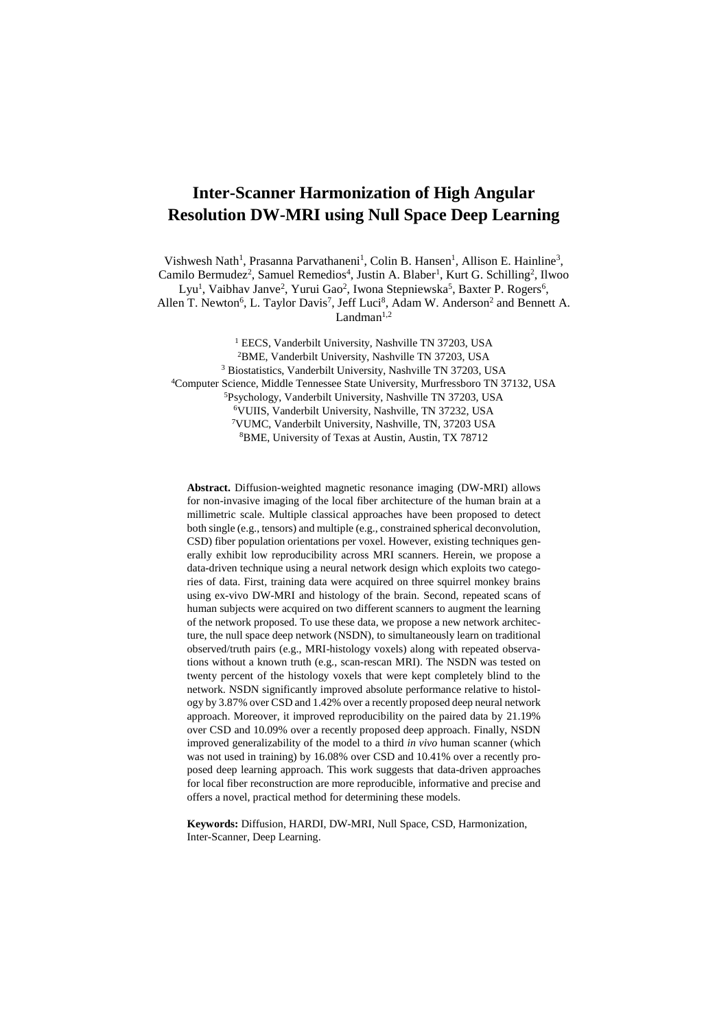# **Inter-Scanner Harmonization of High Angular Resolution DW-MRI using Null Space Deep Learning**

Vishwesh Nath<sup>1</sup>, Prasanna Parvathaneni<sup>1</sup>, Colin B. Hansen<sup>1</sup>, Allison E. Hainline<sup>3</sup>, Camilo Bermudez<sup>2</sup>, Samuel Remedios<sup>4</sup>, Justin A. Blaber<sup>1</sup>, Kurt G. Schilling<sup>2</sup>, Ilwoo

Lyu<sup>1</sup>, Vaibhav Janve<sup>2</sup>, Yurui Gao<sup>2</sup>, Iwona Stepniewska<sup>5</sup>, Baxter P. Rogers<sup>6</sup>,

Allen T. Newton<sup>6</sup>, L. Taylor Davis<sup>7</sup>, Jeff Luci<sup>8</sup>, Adam W. Anderson<sup>2</sup> and Bennett A.  $Landman<sup>1,2</sup>$ 

<sup>1</sup> EECS, Vanderbilt University, Nashville TN 37203, USA

<sup>2</sup>BME, Vanderbilt University, Nashville TN 37203, USA

<sup>3</sup> Biostatistics, Vanderbilt University, Nashville TN 37203, USA

<sup>4</sup>Computer Science, Middle Tennessee State University, Murfressboro TN 37132, USA

<sup>5</sup>Psychology, Vanderbilt University, Nashville TN 37203, USA

<sup>6</sup>VUIIS, Vanderbilt University, Nashville, TN 37232, USA

<sup>7</sup>VUMC, Vanderbilt University, Nashville, TN, 37203 USA

<sup>8</sup>BME, University of Texas at Austin, Austin, TX 78712

**Abstract.** Diffusion-weighted magnetic resonance imaging (DW-MRI) allows for non-invasive imaging of the local fiber architecture of the human brain at a millimetric scale. Multiple classical approaches have been proposed to detect both single (e.g., tensors) and multiple (e.g., constrained spherical deconvolution, CSD) fiber population orientations per voxel. However, existing techniques generally exhibit low reproducibility across MRI scanners. Herein, we propose a data-driven technique using a neural network design which exploits two categories of data. First, training data were acquired on three squirrel monkey brains using ex-vivo DW-MRI and histology of the brain. Second, repeated scans of human subjects were acquired on two different scanners to augment the learning of the network proposed. To use these data, we propose a new network architecture, the null space deep network (NSDN), to simultaneously learn on traditional observed/truth pairs (e.g., MRI-histology voxels) along with repeated observations without a known truth (e.g., scan-rescan MRI). The NSDN was tested on twenty percent of the histology voxels that were kept completely blind to the network. NSDN significantly improved absolute performance relative to histology by 3.87% over CSD and 1.42% over a recently proposed deep neural network approach. Moreover, it improved reproducibility on the paired data by 21.19% over CSD and 10.09% over a recently proposed deep approach. Finally, NSDN improved generalizability of the model to a third *in vivo* human scanner (which was not used in training) by 16.08% over CSD and 10.41% over a recently proposed deep learning approach. This work suggests that data-driven approaches for local fiber reconstruction are more reproducible, informative and precise and offers a novel, practical method for determining these models.

**Keywords:** Diffusion, HARDI, DW-MRI, Null Space, CSD, Harmonization, Inter-Scanner, Deep Learning.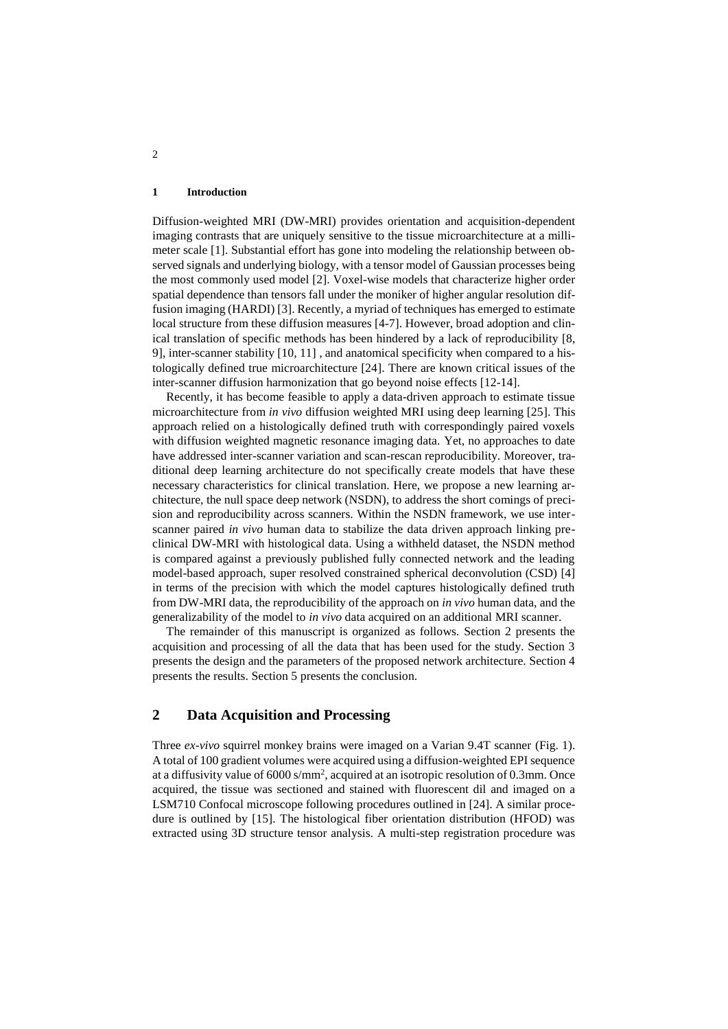#### **1 Introduction**

Diffusion-weighted MRI (DW-MRI) provides orientation and acquisition-dependent imaging contrasts that are uniquely sensitive to the tissue microarchitecture at a millimeter scale [1]. Substantial effort has gone into modeling the relationship between observed signals and underlying biology, with a tensor model of Gaussian processes being the most commonly used model [2]. Voxel-wise models that characterize higher order spatial dependence than tensors fall under the moniker of higher angular resolution diffusion imaging (HARDI) [3]. Recently, a myriad of techniques has emerged to estimate local structure from these diffusion measures [4-7]. However, broad adoption and clinical translation of specific methods has been hindered by a lack of reproducibility [8, 9], inter-scanner stability [10, 11] , and anatomical specificity when compared to a histologically defined true microarchitecture [24]. There are known critical issues of the inter-scanner diffusion harmonization that go beyond noise effects [12-14].

Recently, it has become feasible to apply a data-driven approach to estimate tissue microarchitecture from *in vivo* diffusion weighted MRI using deep learning [25]. This approach relied on a histologically defined truth with correspondingly paired voxels with diffusion weighted magnetic resonance imaging data. Yet, no approaches to date have addressed inter-scanner variation and scan-rescan reproducibility. Moreover, traditional deep learning architecture do not specifically create models that have these necessary characteristics for clinical translation. Here, we propose a new learning architecture, the null space deep network (NSDN), to address the short comings of precision and reproducibility across scanners. Within the NSDN framework, we use interscanner paired *in vivo* human data to stabilize the data driven approach linking preclinical DW-MRI with histological data. Using a withheld dataset, the NSDN method is compared against a previously published fully connected network and the leading model-based approach, super resolved constrained spherical deconvolution (CSD) [4] in terms of the precision with which the model captures histologically defined truth from DW-MRI data, the reproducibility of the approach on *in vivo* human data, and the generalizability of the model to *in vivo* data acquired on an additional MRI scanner.

The remainder of this manuscript is organized as follows. Section 2 presents the acquisition and processing of all the data that has been used for the study. Section 3 presents the design and the parameters of the proposed network architecture. Section 4 presents the results. Section 5 presents the conclusion.

## **2 Data Acquisition and Processing**

Three *ex-vivo* squirrel monkey brains were imaged on a Varian 9.4T scanner (Fig. 1). A total of 100 gradient volumes were acquired using a diffusion-weighted EPI sequence at a diffusivity value of 6000 s/mm<sup>2</sup>, acquired at an isotropic resolution of 0.3mm. Once acquired, the tissue was sectioned and stained with fluorescent dil and imaged on a LSM710 Confocal microscope following procedures outlined in [24]. A similar procedure is outlined by [15]. The histological fiber orientation distribution (HFOD) was extracted using 3D structure tensor analysis. A multi-step registration procedure was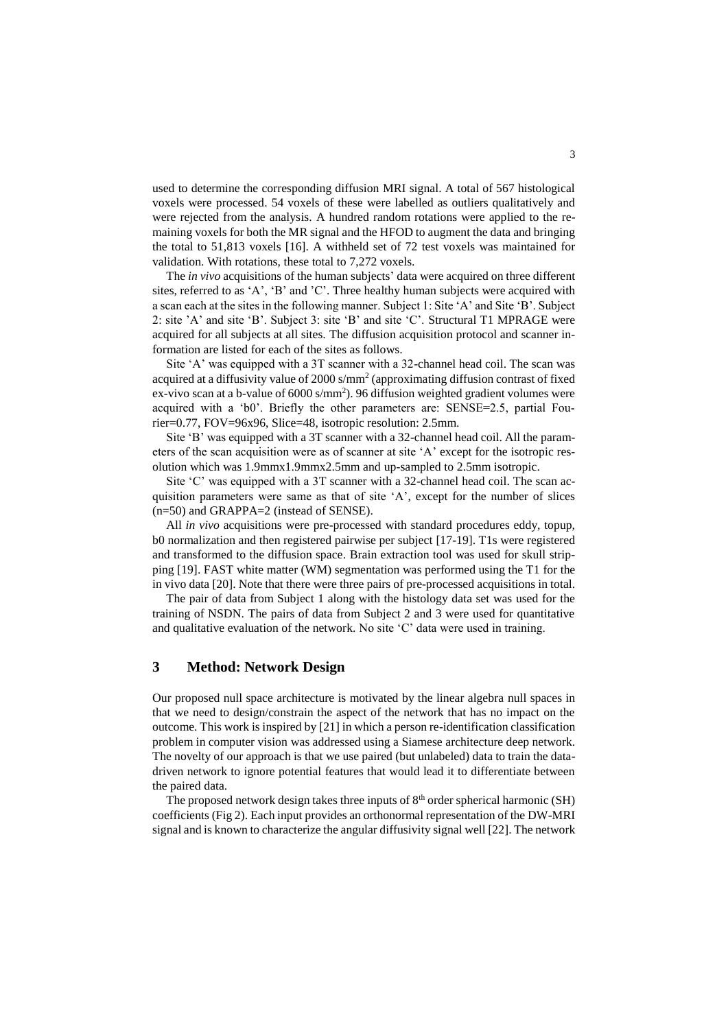used to determine the corresponding diffusion MRI signal. A total of 567 histological voxels were processed. 54 voxels of these were labelled as outliers qualitatively and were rejected from the analysis. A hundred random rotations were applied to the remaining voxels for both the MR signal and the HFOD to augment the data and bringing the total to 51,813 voxels [16]. A withheld set of 72 test voxels was maintained for validation. With rotations, these total to 7,272 voxels.

The *in vivo* acquisitions of the human subjects' data were acquired on three different sites, referred to as 'A', 'B' and 'C'. Three healthy human subjects were acquired with a scan each at the sites in the following manner. Subject 1: Site 'A' and Site 'B'. Subject 2: site 'A' and site 'B'. Subject 3: site 'B' and site 'C'. Structural T1 MPRAGE were acquired for all subjects at all sites. The diffusion acquisition protocol and scanner information are listed for each of the sites as follows.

Site 'A' was equipped with a 3T scanner with a 32-channel head coil. The scan was acquired at a diffusivity value of  $2000 \text{ s/mm}^2$  (approximating diffusion contrast of fixed ex-vivo scan at a b-value of  $6000 \text{ s/mm}^2$ ). 96 diffusion weighted gradient volumes were acquired with a 'b0'. Briefly the other parameters are: SENSE=2.5, partial Fourier=0.77, FOV=96x96, Slice=48, isotropic resolution: 2.5mm.

Site 'B' was equipped with a 3T scanner with a 32-channel head coil. All the parameters of the scan acquisition were as of scanner at site 'A' except for the isotropic resolution which was 1.9mmx1.9mmx2.5mm and up-sampled to 2.5mm isotropic.

Site 'C' was equipped with a 3T scanner with a 32-channel head coil. The scan acquisition parameters were same as that of site 'A', except for the number of slices (n=50) and GRAPPA=2 (instead of SENSE).

All *in vivo* acquisitions were pre-processed with standard procedures eddy, topup, b0 normalization and then registered pairwise per subject [17-19]. T1s were registered and transformed to the diffusion space. Brain extraction tool was used for skull stripping [19]. FAST white matter (WM) segmentation was performed using the T1 for the in vivo data [20]. Note that there were three pairs of pre-processed acquisitions in total.

The pair of data from Subject 1 along with the histology data set was used for the training of NSDN. The pairs of data from Subject 2 and 3 were used for quantitative and qualitative evaluation of the network. No site 'C' data were used in training.

## **3 Method: Network Design**

Our proposed null space architecture is motivated by the linear algebra null spaces in that we need to design/constrain the aspect of the network that has no impact on the outcome. This work is inspired by [21] in which a person re-identification classification problem in computer vision was addressed using a Siamese architecture deep network. The novelty of our approach is that we use paired (but unlabeled) data to train the datadriven network to ignore potential features that would lead it to differentiate between the paired data.

The proposed network design takes three inputs of 8<sup>th</sup> order spherical harmonic (SH) coefficients (Fig 2). Each input provides an orthonormal representation of the DW-MRI signal and is known to characterize the angular diffusivity signal well [22]. The network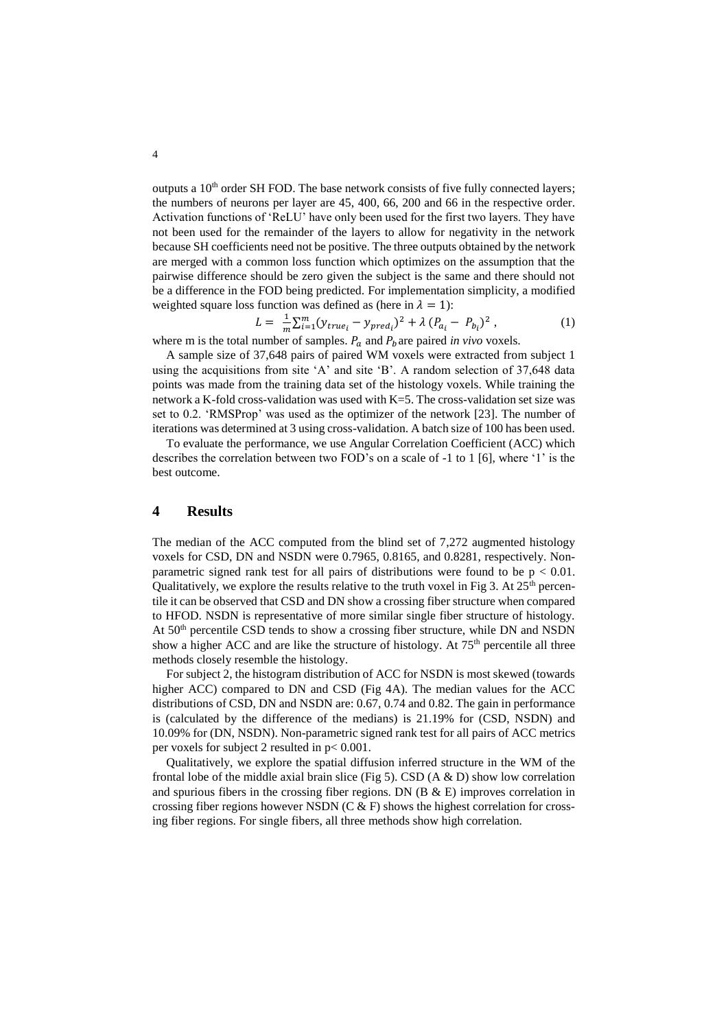outputs a  $10<sup>th</sup>$  order SH FOD. The base network consists of five fully connected layers; the numbers of neurons per layer are 45, 400, 66, 200 and 66 in the respective order. Activation functions of 'ReLU' have only been used for the first two layers. They have not been used for the remainder of the layers to allow for negativity in the network because SH coefficients need not be positive. The three outputs obtained by the network are merged with a common loss function which optimizes on the assumption that the pairwise difference should be zero given the subject is the same and there should not be a difference in the FOD being predicted. For implementation simplicity, a modified weighted square loss function was defined as (here in  $\lambda = 1$ ):

$$
L = \frac{1}{m} \sum_{i=1}^{m} (y_{true_i} - y_{pred_i})^2 + \lambda (P_{a_i} - P_{b_i})^2 , \qquad (1)
$$

where m is the total number of samples.  $P_a$  and  $P_b$  are paired *in vivo* voxels.

A sample size of 37,648 pairs of paired WM voxels were extracted from subject 1 using the acquisitions from site 'A' and site 'B'. A random selection of 37,648 data points was made from the training data set of the histology voxels. While training the network a K-fold cross-validation was used with K=5. The cross-validation set size was set to 0.2. 'RMSProp' was used as the optimizer of the network [23]. The number of iterations was determined at 3 using cross-validation. A batch size of 100 has been used.

To evaluate the performance, we use Angular Correlation Coefficient (ACC) which describes the correlation between two FOD's on a scale of -1 to 1 [6], where '1' is the best outcome.

### **4 Results**

The median of the ACC computed from the blind set of 7,272 augmented histology voxels for CSD, DN and NSDN were 0.7965, 0.8165, and 0.8281, respectively. Nonparametric signed rank test for all pairs of distributions were found to be  $p < 0.01$ . Qualitatively, we explore the results relative to the truth voxel in Fig 3. At  $25<sup>th</sup>$  percentile it can be observed that CSD and DN show a crossing fiber structure when compared to HFOD. NSDN is representative of more similar single fiber structure of histology. At  $50<sup>th</sup>$  percentile CSD tends to show a crossing fiber structure, while DN and NSDN show a higher ACC and are like the structure of histology. At  $75<sup>th</sup>$  percentile all three methods closely resemble the histology.

For subject 2, the histogram distribution of ACC for NSDN is most skewed (towards higher ACC) compared to DN and CSD (Fig 4A). The median values for the ACC distributions of CSD, DN and NSDN are: 0.67, 0.74 and 0.82. The gain in performance is (calculated by the difference of the medians) is 21.19% for (CSD, NSDN) and 10.09% for (DN, NSDN). Non-parametric signed rank test for all pairs of ACC metrics per voxels for subject 2 resulted in p< 0.001.

Qualitatively, we explore the spatial diffusion inferred structure in the WM of the frontal lobe of the middle axial brain slice (Fig 5). CSD (A  $\&$  D) show low correlation and spurious fibers in the crossing fiber regions. DN  $(B \& E)$  improves correlation in crossing fiber regions however NSDN (C  $\&$  F) shows the highest correlation for crossing fiber regions. For single fibers, all three methods show high correlation.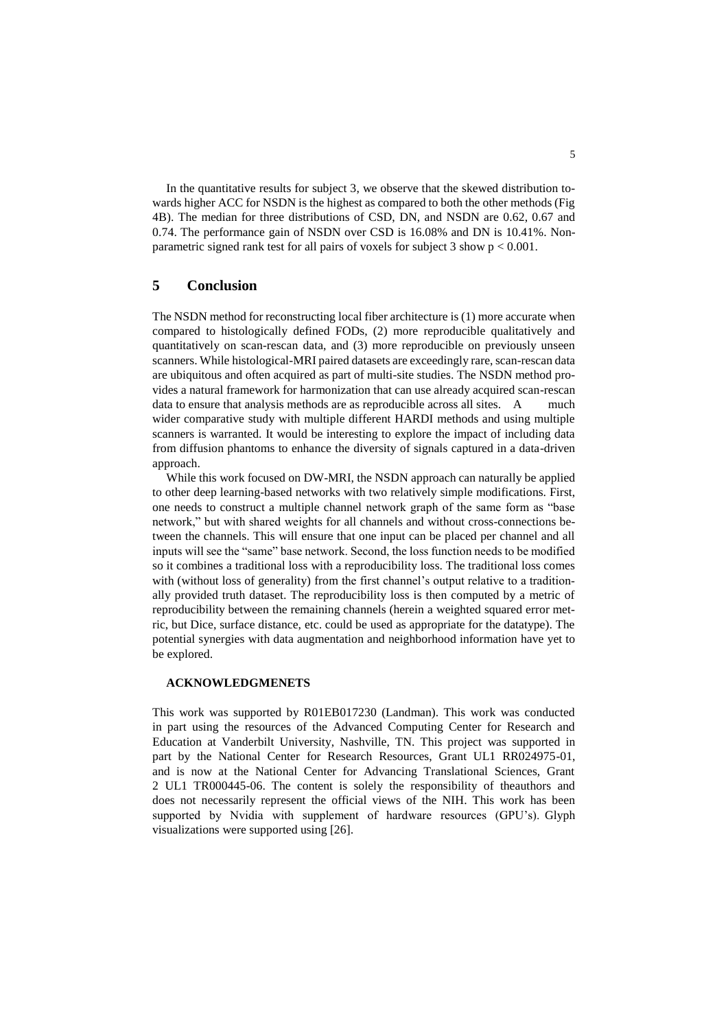In the quantitative results for subject 3, we observe that the skewed distribution towards higher ACC for NSDN is the highest as compared to both the other methods (Fig 4B). The median for three distributions of CSD, DN, and NSDN are 0.62, 0.67 and 0.74. The performance gain of NSDN over CSD is 16.08% and DN is 10.41%. Nonparametric signed rank test for all pairs of voxels for subject 3 show p < 0.001.

## **5 Conclusion**

The NSDN method for reconstructing local fiber architecture is (1) more accurate when compared to histologically defined FODs, (2) more reproducible qualitatively and quantitatively on scan-rescan data, and (3) more reproducible on previously unseen scanners. While histological-MRI paired datasets are exceedingly rare, scan-rescan data are ubiquitous and often acquired as part of multi-site studies. The NSDN method provides a natural framework for harmonization that can use already acquired scan-rescan data to ensure that analysis methods are as reproducible across all sites. A much wider comparative study with multiple different HARDI methods and using multiple scanners is warranted. It would be interesting to explore the impact of including data from diffusion phantoms to enhance the diversity of signals captured in a data-driven approach.

While this work focused on DW-MRI, the NSDN approach can naturally be applied to other deep learning-based networks with two relatively simple modifications. First, one needs to construct a multiple channel network graph of the same form as "base network," but with shared weights for all channels and without cross-connections between the channels. This will ensure that one input can be placed per channel and all inputs will see the "same" base network. Second, the loss function needs to be modified so it combines a traditional loss with a reproducibility loss. The traditional loss comes with (without loss of generality) from the first channel's output relative to a traditionally provided truth dataset. The reproducibility loss is then computed by a metric of reproducibility between the remaining channels (herein a weighted squared error metric, but Dice, surface distance, etc. could be used as appropriate for the datatype). The potential synergies with data augmentation and neighborhood information have yet to be explored.

## **ACKNOWLEDGMENETS**

This work was supported by R01EB017230 (Landman). This work was conducted in part using the resources of the Advanced Computing Center for Research and Education at Vanderbilt University, Nashville, TN. This project was supported in part by the National Center for Research Resources, Grant UL1 RR024975-01, and is now at the National Center for Advancing Translational Sciences, Grant 2 UL1 TR000445-06. The content is solely the responsibility of theauthors and does not necessarily represent the official views of the NIH. This work has been supported by Nvidia with supplement of hardware resources (GPU's). Glyph visualizations were supported using [26].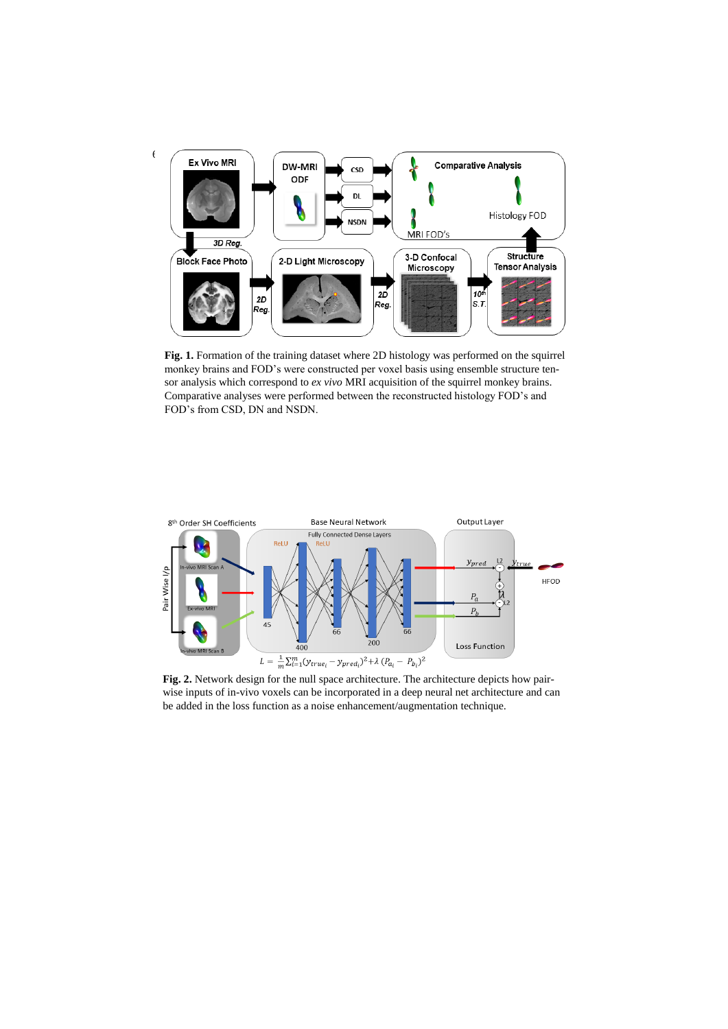

Fig. 1. Formation of the training dataset where 2D histology was performed on the squirrel monkey brains and FOD's were constructed per voxel basis using ensemble structure tensor analysis which correspond to *ex vivo* MRI acquisition of the squirrel monkey brains. Comparative analyses were performed between the reconstructed histology FOD's and FOD's from CSD, DN and NSDN.



Fig. 2. Network design for the null space architecture. The architecture depicts how pairwise inputs of in-vivo voxels can be incorporated in a deep neural net architecture and can be added in the loss function as a noise enhancement/augmentation technique.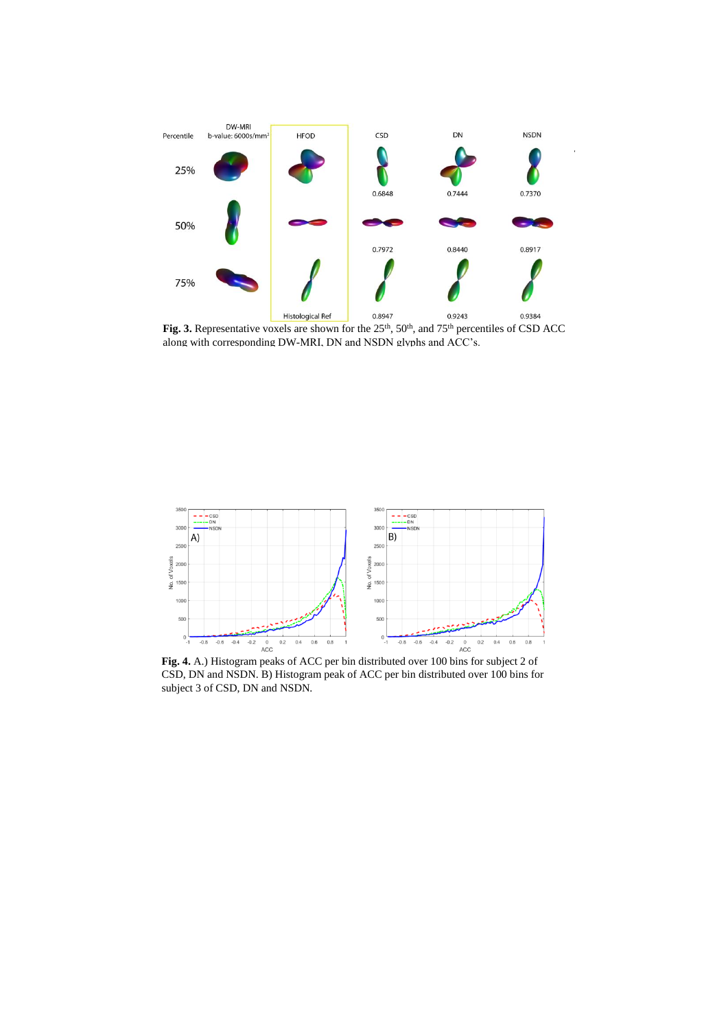

Fig. 3. Representative voxels are shown for the 25<sup>th</sup>, 50<sup>th</sup>, and 75<sup>th</sup> percentiles of CSD ACC along with corresponding DW-MRI, DN and NSDN glyphs and ACC's.



**Fig. 4.** A.) Histogram peaks of ACC per bin distributed over 100 bins for subject 2 of CSD, DN and NSDN. B) Histogram peak of ACC per bin distributed over 100 bins for subject 3 of CSD, DN and NSDN.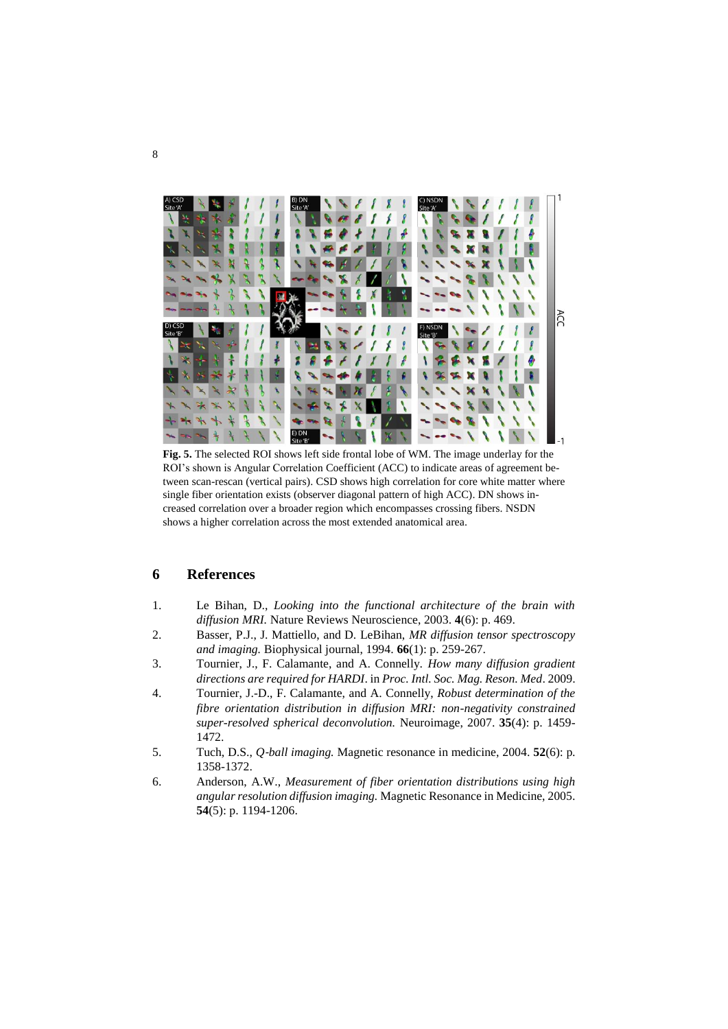

**Fig. 5.** The selected ROI shows left side frontal lobe of WM. The image underlay for the ROI's shown is Angular Correlation Coefficient (ACC) to indicate areas of agreement between scan-rescan (vertical pairs). CSD shows high correlation for core white matter where single fiber orientation exists (observer diagonal pattern of high ACC). DN shows increased correlation over a broader region which encompasses crossing fibers. NSDN shows a higher correlation across the most extended anatomical area.

## **6 References**

- 1. Le Bihan, D., *Looking into the functional architecture of the brain with diffusion MRI.* Nature Reviews Neuroscience, 2003. **4**(6): p. 469.
- 2. Basser, P.J., J. Mattiello, and D. LeBihan, *MR diffusion tensor spectroscopy and imaging.* Biophysical journal, 1994. **66**(1): p. 259-267.
- 3. Tournier, J., F. Calamante, and A. Connelly. *How many diffusion gradient directions are required for HARDI*. in *Proc. Intl. Soc. Mag. Reson. Med*. 2009.
- 4. Tournier, J.-D., F. Calamante, and A. Connelly, *Robust determination of the fibre orientation distribution in diffusion MRI: non-negativity constrained super-resolved spherical deconvolution.* Neuroimage, 2007. **35**(4): p. 1459- 1472.
- 5. Tuch, D.S., *Q*‐*ball imaging.* Magnetic resonance in medicine, 2004. **52**(6): p. 1358-1372.
- 6. Anderson, A.W., *Measurement of fiber orientation distributions using high angular resolution diffusion imaging.* Magnetic Resonance in Medicine, 2005. **54**(5): p. 1194-1206.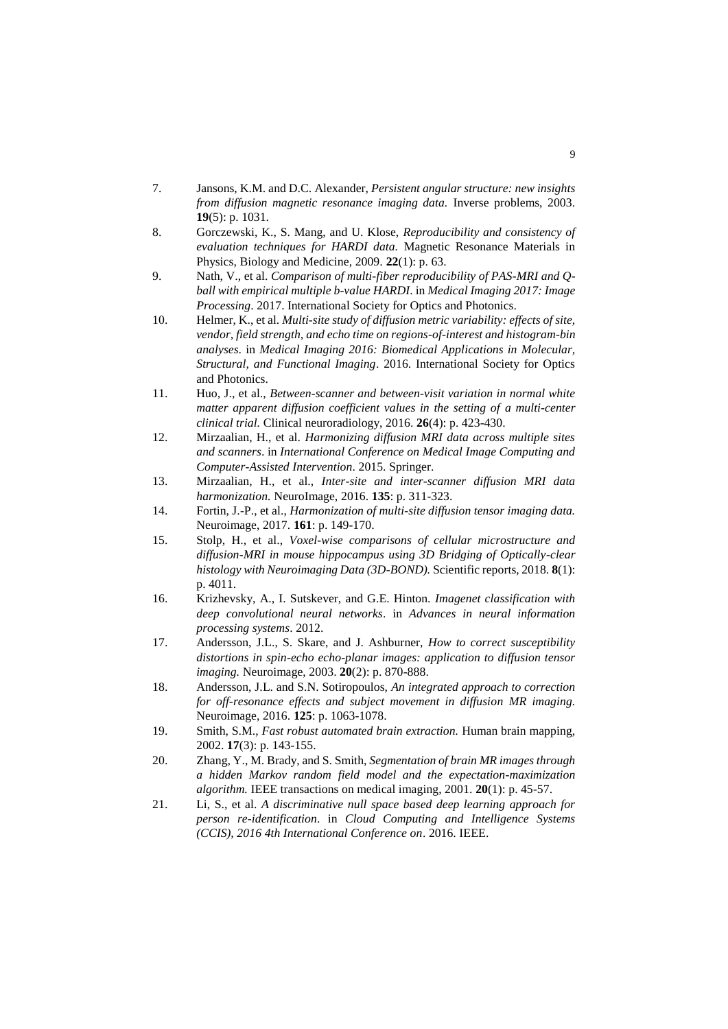- 7. Jansons, K.M. and D.C. Alexander, *Persistent angular structure: new insights from diffusion magnetic resonance imaging data.* Inverse problems, 2003. **19**(5): p. 1031.
- 8. Gorczewski, K., S. Mang, and U. Klose, *Reproducibility and consistency of evaluation techniques for HARDI data.* Magnetic Resonance Materials in Physics, Biology and Medicine, 2009. **22**(1): p. 63.
- 9. Nath, V., et al. *Comparison of multi-fiber reproducibility of PAS-MRI and Qball with empirical multiple b-value HARDI*. in *Medical Imaging 2017: Image Processing*. 2017. International Society for Optics and Photonics.
- 10. Helmer, K., et al. *Multi-site study of diffusion metric variability: effects of site, vendor, field strength, and echo time on regions-of-interest and histogram-bin analyses*. in *Medical Imaging 2016: Biomedical Applications in Molecular, Structural, and Functional Imaging*. 2016. International Society for Optics and Photonics.
- 11. Huo, J., et al., *Between-scanner and between-visit variation in normal white matter apparent diffusion coefficient values in the setting of a multi-center clinical trial.* Clinical neuroradiology, 2016. **26**(4): p. 423-430.
- 12. Mirzaalian, H., et al. *Harmonizing diffusion MRI data across multiple sites and scanners*. in *International Conference on Medical Image Computing and Computer-Assisted Intervention*. 2015. Springer.
- 13. Mirzaalian, H., et al., *Inter-site and inter-scanner diffusion MRI data harmonization.* NeuroImage, 2016. **135**: p. 311-323.
- 14. Fortin, J.-P., et al., *Harmonization of multi-site diffusion tensor imaging data.* Neuroimage, 2017. **161**: p. 149-170.
- 15. Stolp, H., et al., *Voxel-wise comparisons of cellular microstructure and diffusion-MRI in mouse hippocampus using 3D Bridging of Optically-clear histology with Neuroimaging Data (3D-BOND).* Scientific reports, 2018. **8**(1): p. 4011.
- 16. Krizhevsky, A., I. Sutskever, and G.E. Hinton. *Imagenet classification with deep convolutional neural networks*. in *Advances in neural information processing systems*. 2012.
- 17. Andersson, J.L., S. Skare, and J. Ashburner, *How to correct susceptibility distortions in spin-echo echo-planar images: application to diffusion tensor imaging.* Neuroimage, 2003. **20**(2): p. 870-888.
- 18. Andersson, J.L. and S.N. Sotiropoulos, *An integrated approach to correction for off-resonance effects and subject movement in diffusion MR imaging.* Neuroimage, 2016. **125**: p. 1063-1078.
- 19. Smith, S.M., *Fast robust automated brain extraction.* Human brain mapping, 2002. **17**(3): p. 143-155.
- 20. Zhang, Y., M. Brady, and S. Smith, *Segmentation of brain MR images through a hidden Markov random field model and the expectation-maximization algorithm.* IEEE transactions on medical imaging, 2001. **20**(1): p. 45-57.
- 21. Li, S., et al. *A discriminative null space based deep learning approach for person re-identification*. in *Cloud Computing and Intelligence Systems (CCIS), 2016 4th International Conference on*. 2016. IEEE.